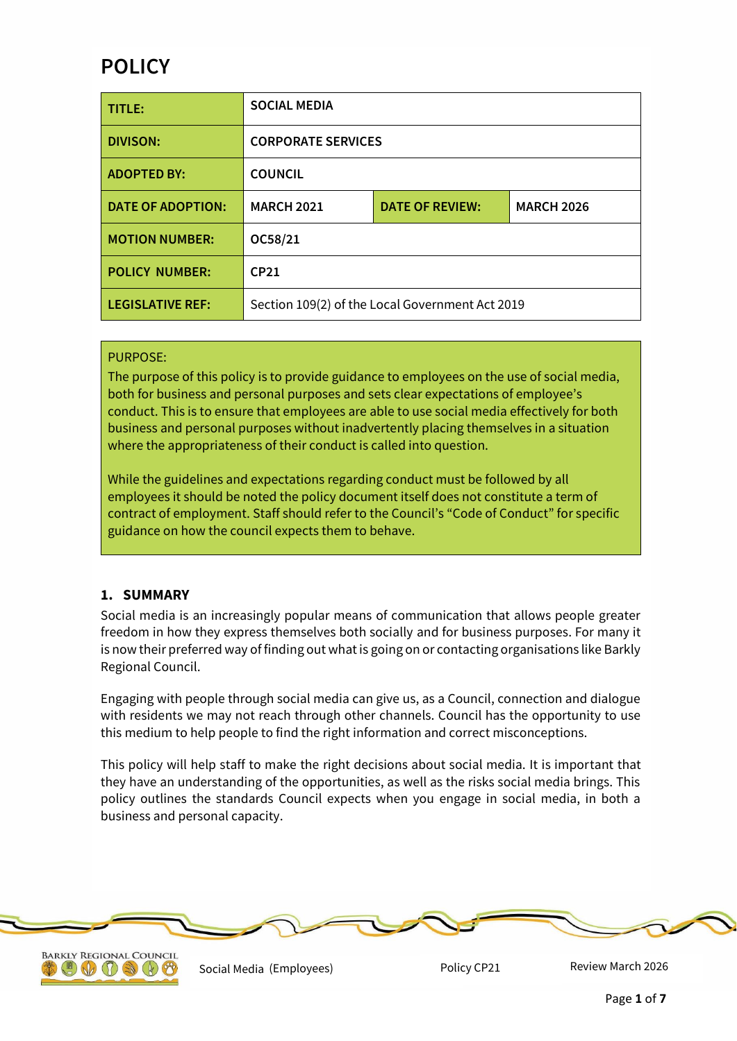# **POLICY**

| TITLE:                   | <b>SOCIAL MEDIA</b>                             |                        |                   |
|--------------------------|-------------------------------------------------|------------------------|-------------------|
| <b>DIVISON:</b>          | <b>CORPORATE SERVICES</b>                       |                        |                   |
| <b>ADOPTED BY:</b>       | <b>COUNCIL</b>                                  |                        |                   |
| <b>DATE OF ADOPTION:</b> | <b>MARCH 2021</b>                               | <b>DATE OF REVIEW:</b> | <b>MARCH 2026</b> |
| <b>MOTION NUMBER:</b>    | OC58/21                                         |                        |                   |
| <b>POLICY NUMBER:</b>    | CP21                                            |                        |                   |
| <b>LEGISLATIVE REF:</b>  | Section 109(2) of the Local Government Act 2019 |                        |                   |

#### PURPOSE:

The purpose of this policy is to provide guidance to employees on the use of social media, both for business and personal purposes and sets clear expectations of employee's conduct. This is to ensure that employees are able to use social media effectively for both business and personal purposes without inadvertently placing themselves in a situation where the appropriateness of their conduct is called into question.

While the guidelines and expectations regarding conduct must be followed by all employees it should be noted the policy document itself does not constitute a term of contract of employment. Staff should refer to the Council's "Code of Conduct" for specific guidance on how the council expects them to behave.

# **1. SUMMARY**

Social media is an increasingly popular means of communication that allows people greater freedom in how they express themselves both socially and for business purposes. For many it is now their preferred way of finding out what is going on or contacting organisations like Barkly Regional Council.

Engaging with people through social media can give us, as a Council, connection and dialogue with residents we may not reach through other channels. Council has the opportunity to use this medium to help people to find the right information and correct misconceptions.

This policy will help staff to make the right decisions about social media. It is important that they have an understanding of the opportunities, as well as the risks social media brings. This policy outlines the standards Council expects when you engage in social media, in both a business and personal capacity.





Social Media (Employees) **Policy CP21** 

Review March 2026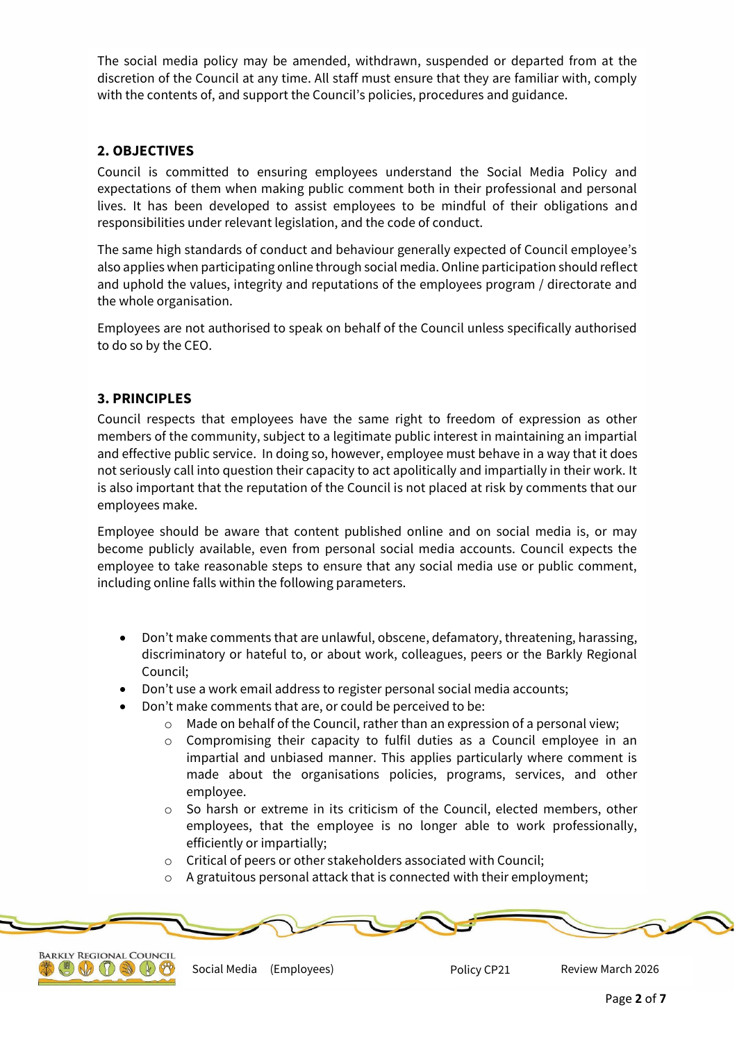The social media policy may be amended, withdrawn, suspended or departed from at the discretion of the Council at any time. All staff must ensure that they are familiar with, comply with the contents of, and support the Council's policies, procedures and guidance.

# **2. OBJECTIVES**

Council is committed to ensuring employees understand the Social Media Policy and expectations of them when making public comment both in their professional and personal lives. It has been developed to assist employees to be mindful of their obligations and responsibilities under relevant legislation, and the code of conduct.

The same high standards of conduct and behaviour generally expected of Council employee's also applies when participating online through social media. Online participation should reflect and uphold the values, integrity and reputations of the employees program / directorate and the whole organisation.

Employees are not authorised to speak on behalf of the Council unless specifically authorised to do so by the CEO.

## **3. PRINCIPLES**

Council respects that employees have the same right to freedom of expression as other members of the community, subject to a legitimate public interest in maintaining an impartial and effective public service. In doing so, however, employee must behave in a way that it does not seriously call into question their capacity to act apolitically and impartially in their work. It is also important that the reputation of the Council is not placed at risk by comments that our employees make.

Employee should be aware that content published online and on social media is, or may become publicly available, even from personal social media accounts. Council expects the employee to take reasonable steps to ensure that any social media use or public comment, including online falls within the following parameters.

- Don't make comments that are unlawful, obscene, defamatory, threatening, harassing, discriminatory or hateful to, or about work, colleagues, peers or the Barkly Regional Council;
- Don't use a work email address to register personal social media accounts;
- Don't make comments that are, or could be perceived to be:
	- o Made on behalf of the Council, rather than an expression of a personal view;
	- o Compromising their capacity to fulfil duties as a Council employee in an impartial and unbiased manner. This applies particularly where comment is made about the organisations policies, programs, services, and other employee.
	- o So harsh or extreme in its criticism of the Council, elected members, other employees, that the employee is no longer able to work professionally, efficiently or impartially;
	- o Critical of peers or other stakeholders associated with Council;
	- o A gratuitous personal attack that is connected with their employment;



Social Media Review March 2026 (Employees) Policy CP21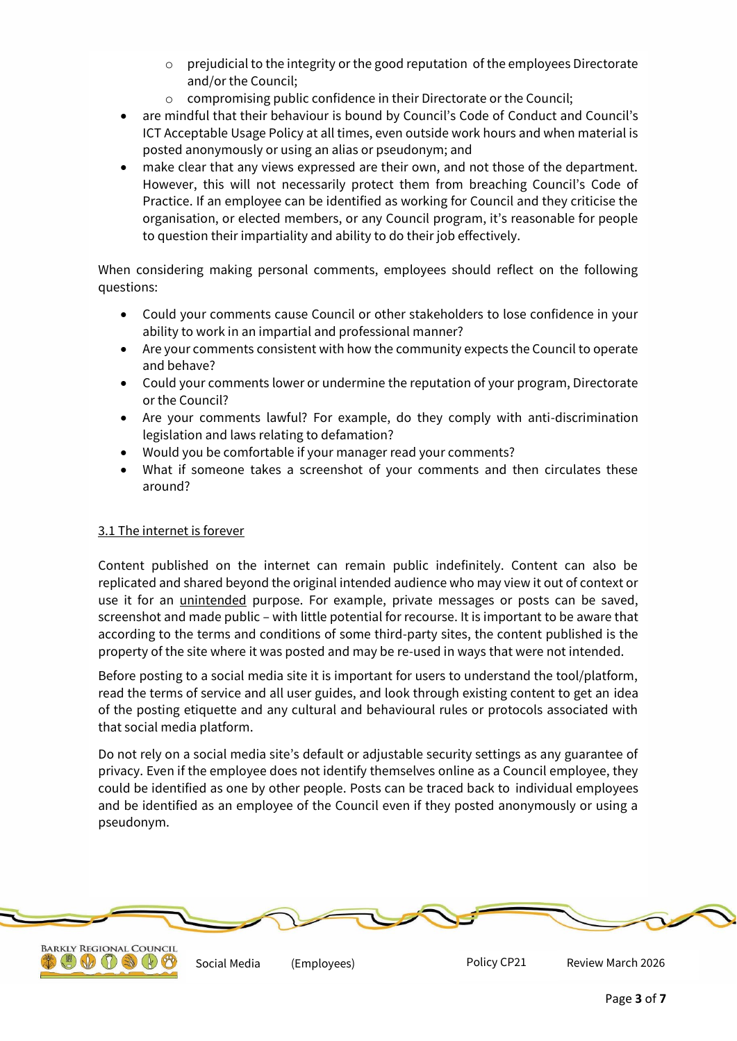- $\circ$  prejudicial to the integrity or the good reputation of the employees Directorate and/or the Council;
- o compromising public confidence in their Directorate or the Council;
- are mindful that their behaviour is bound by Council's Code of Conduct and Council's ICT Acceptable Usage Policy at all times, even outside work hours and when material is posted anonymously or using an alias or pseudonym; and
- make clear that any views expressed are their own, and not those of the department. However, this will not necessarily protect them from breaching Council's Code of Practice. If an employee can be identified as working for Council and they criticise the organisation, or elected members, or any Council program, it's reasonable for people to question their impartiality and ability to do their job effectively.

When considering making personal comments, employees should reflect on the following questions:

- Could your comments cause Council or other stakeholders to lose confidence in your ability to work in an impartial and professional manner?
- Are your comments consistent with how the community expects the Council to operate and behave?
- Could your comments lower or undermine the reputation of your program, Directorate or the Council?
- Are your comments lawful? For example, do they comply with anti-discrimination legislation and laws relating to defamation?
- Would you be comfortable if your manager read your comments?
- What if someone takes a screenshot of your comments and then circulates these around?

# 3.1 The internet is forever

Content published on the internet can remain public indefinitely. Content can also be replicated and shared beyond the original intended audience who may view it out of context or use it for an unintended purpose. For example, private messages or posts can be saved, screenshot and made public – with little potential for recourse. It is important to be aware that according to the terms and conditions of some third-party sites, the content published is the property of the site where it was posted and may be re-used in ways that were not intended.

Before posting to a social media site it is important for users to understand the tool/platform, read the terms of service and all user guides, and look through existing content to get an idea of the posting etiquette and any cultural and behavioural rules or protocols associated with that social media platform.

Do not rely on a social media site's default or adjustable security settings as any guarantee of privacy. Even if the employee does not identify themselves online as a Council employee, they could be identified as one by other people. Posts can be traced back to individual employees and be identified as an employee of the Council even if they posted anonymously or using a pseudonym.





Social Media (Employees) The Policy CP21 Review March 2026 (Employees)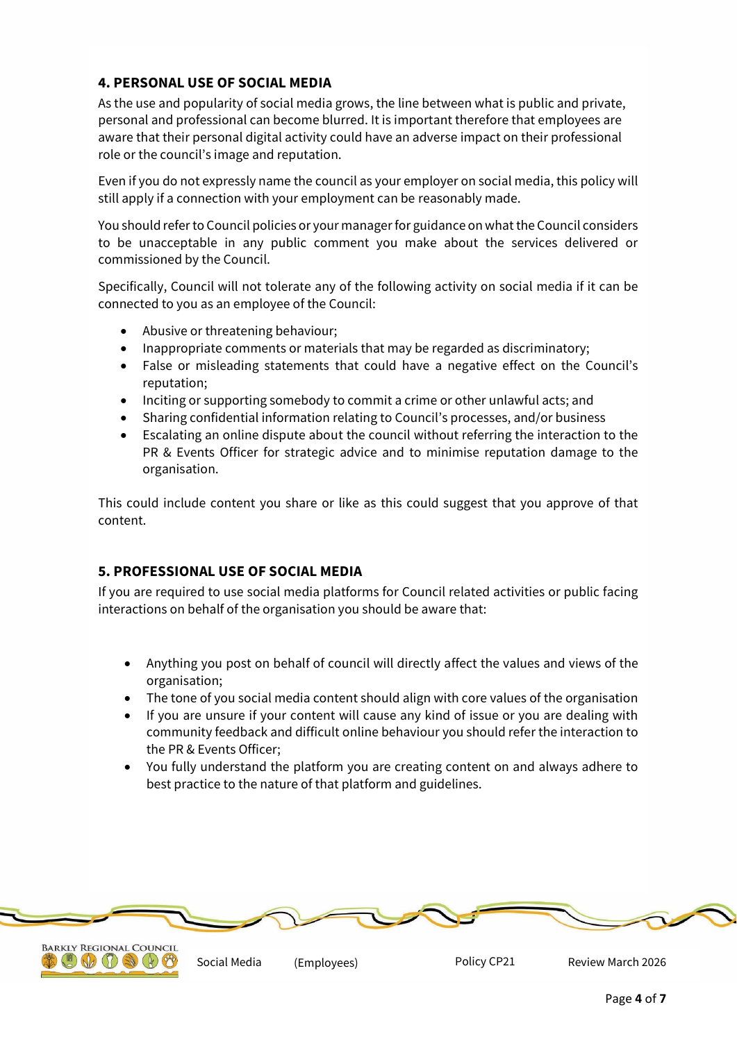# **4. PERSONAL USE OF SOCIAL MEDIA**

As the use and popularity of social media grows, the line between what is public and private, personal and professional can become blurred. It is important therefore that employees are aware that their personal digital activity could have an adverse impact on their professional role or the council's image and reputation.

Even if you do not expressly name the council as your employer on social media, this policy will still apply if a connection with your employment can be reasonably made.

You should refer to Council policies or your manager for guidance on what the Council considers to be unacceptable in any public comment you make about the services delivered or commissioned by the Council.

Specifically, Council will not tolerate any of the following activity on social media if it can be connected to you as an employee of the Council:

- Abusive or threatening behaviour;
- Inappropriate comments or materials that may be regarded as discriminatory;
- False or misleading statements that could have a negative effect on the Council's reputation;
- Inciting or supporting somebody to commit a crime or other unlawful acts; and
- Sharing confidential information relating to Council's processes, and/or business
- Escalating an online dispute about the council without referring the interaction to the PR & Events Officer for strategic advice and to minimise reputation damage to the organisation.

This could include content you share or like as this could suggest that you approve of that content.

# **5. PROFESSIONAL USE OF SOCIAL MEDIA**

 $\mathbb{C} \oplus \mathbb{C} \oplus \mathbb{C}$ 

If you are required to use social media platforms for Council related activities or public facing interactions on behalf of the organisation you should be aware that:

- Anything you post on behalf of council will directly affect the values and views of the organisation;
- The tone of you social media content should align with core values of the organisation
- If you are unsure if your content will cause any kind of issue or you are dealing with community feedback and difficult online behaviour you should refer the interaction to the PR & Events Officer;
- You fully understand the platform you are creating content on and always adhere to best practice to the nature of that platform and guidelines.

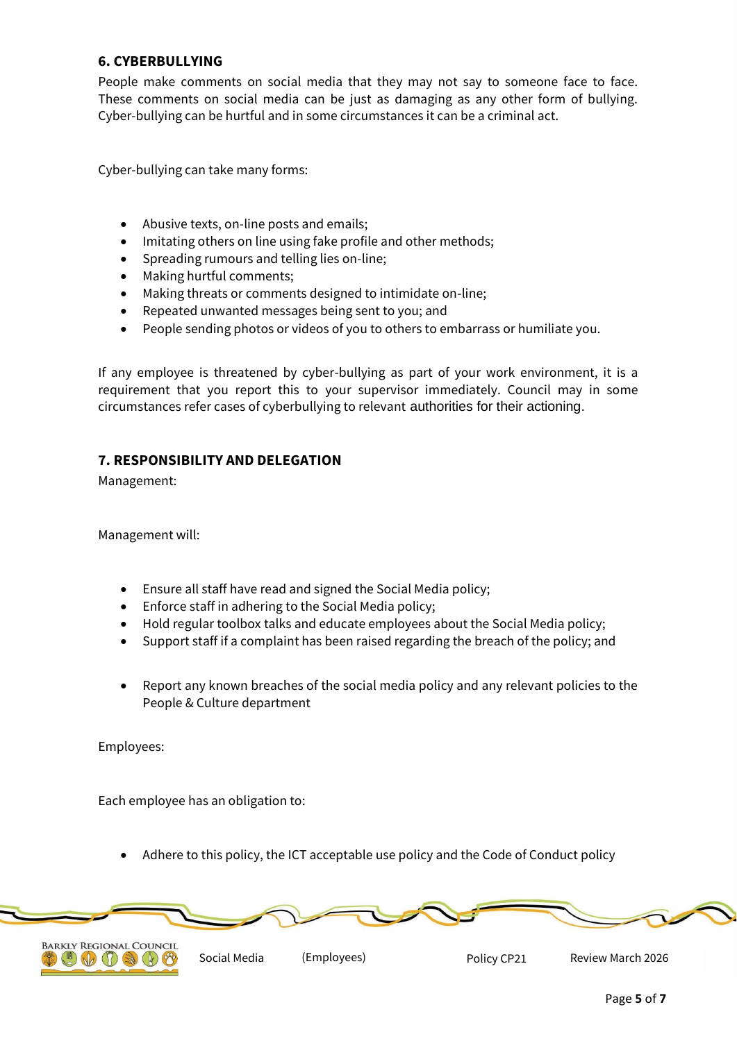## **6. CYBERBULLYING**

People make comments on social media that they may not say to someone face to face. These comments on social media can be just as damaging as any other form of bullying. Cyber-bullying can be hurtful and in some circumstances it can be a criminal act.

Cyber-bullying can take many forms:

- Abusive texts, on-line posts and emails;
- Imitating others on line using fake profile and other methods;
- Spreading rumours and telling lies on-line;
- Making hurtful comments;
- Making threats or comments designed to intimidate on-line;
- Repeated unwanted messages being sent to you; and
- People sending photos or videos of you to others to embarrass or humiliate you.

If any employee is threatened by cyber-bullying as part of your work environment, it is a requirement that you report this to your supervisor immediately. Council may in some circumstances refer cases of cyberbullying to relevant authorities for their actioning.

#### **7. RESPONSIBILITY AND DELEGATION**

Management:

Management will:

- Ensure all staff have read and signed the Social Media policy;
- Enforce staff in adhering to the Social Media policy;
- Hold regular toolbox talks and educate employees about the Social Media policy;
- Support staff if a complaint has been raised regarding the breach of the policy; and
- Report any known breaches of the social media policy and any relevant policies to the People & Culture department

Employees:

Each employee has an obligation to:

Adhere to this policy, the ICT acceptable use policy and the Code of Conduct policy





Policy CP21

Social Media (Employees) The Policy CP21 Review March 2026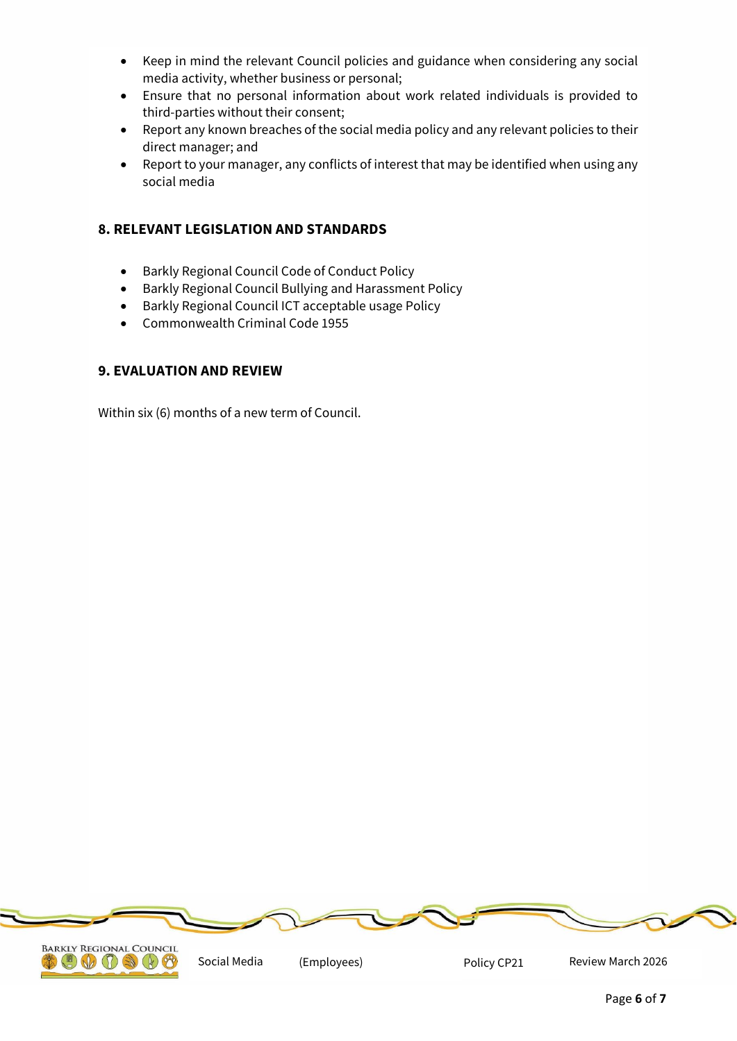- Keep in mind the relevant Council policies and guidance when considering any social media activity, whether business or personal;
- Ensure that no personal information about work related individuals is provided to third-parties without their consent;
- Report any known breaches of the social media policy and any relevant policies to their direct manager; and
- Report to your manager, any conflicts of interest that may be identified when using any social media

# **8. RELEVANT LEGISLATION AND STANDARDS**

- Barkly Regional Council Code of Conduct Policy
- Barkly Regional Council Bullying and Harassment Policy
- Barkly Regional Council ICT acceptable usage Policy
- Commonwealth Criminal Code 1955

# **9. EVALUATION AND REVIEW**

Within six (6) months of a new term of Council.